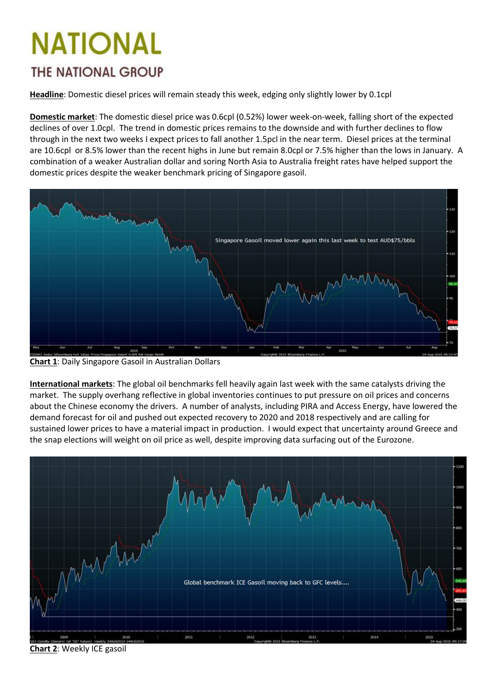## **NATIONAL** *THE NATIONAL GROUP*

**Headline**: Domestic diesel prices will remain steady this week, edging only slightly lower by 0.1cpl

**Domestic market**: The domestic diesel price was 0.6cpl (0.52%) lower week-on-week, falling short of the expected declines of over 1.0cpl. The trend in domestic prices remains to the downside and with further declines to flow through in the next two weeks I expect prices to fall another 1.5pcl in the near term. Diesel prices at the terminal are 10.6cpl or 8.5% lower than the recent highs in June but remain 8.0cpl or 7.5% higher than the lows in January. A combination of a weaker Australian dollar and soring North Asia to Australia freight rates have helped support the domestic prices despite the weaker benchmark pricing of Singapore gasoil.



**Chart 1**: Daily Singapore Gasoil in Australian Dollars

**International markets**: The global oil benchmarks fell heavily again last week with the same catalysts driving the market. The supply overhang reflective in global inventories continues to put pressure on oil prices and concerns about the Chinese economy the drivers. A number of analysts, including PIRA and Access Energy, have lowered the demand forecast for oil and pushed out expected recovery to 2020 and 2018 respectively and are calling for sustained lower prices to have a material impact in production. I would expect that uncertainty around Greece and the snap elections will weight on oil price as well, despite improving data surfacing out of the Eurozone.



**Chart 2**: Weekly ICE gasoil